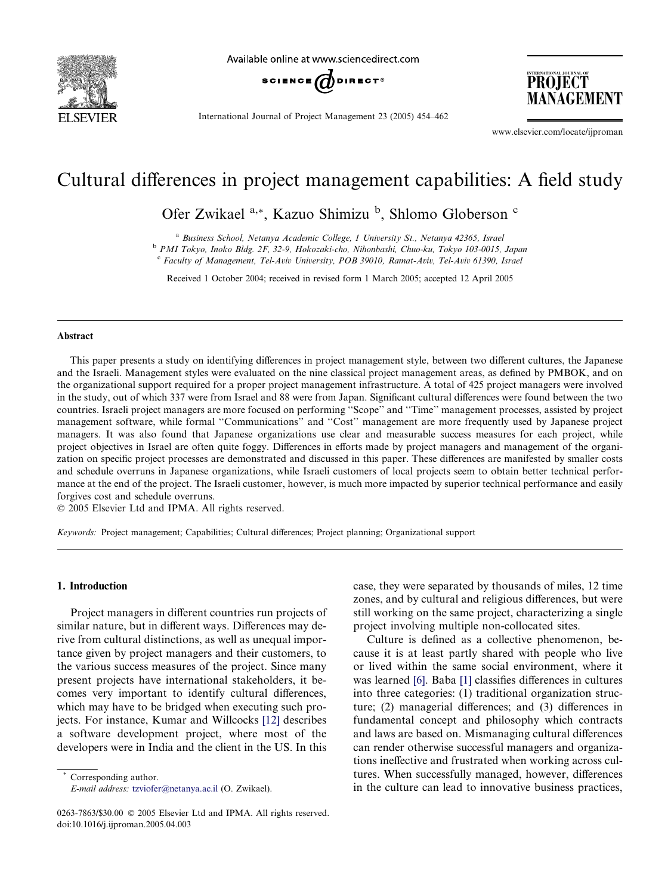

Available online at www.sciencedirect.com



International Journal of Project Management 23 (2005) 454–462

www.elsevier.com/locate/ijproman

PROJECT MANAGEMENT

# Cultural differences in project management capabilities: A field study

Ofer Zwikael <sup>a,\*</sup>, Kazuo Shimizu <sup>b</sup>, Shlomo Globerson <sup>c</sup>

<sup>a</sup> Business School, Netanya Academic College, 1 University St., Netanya 42365, Israel

<sup>b</sup> PMI Tokyo, Inoko Bldg. 2F, 32-9, Hokozaki-cho, Nihonbashi, Chuo-ku, Tokyo 103-0015, Japan

<sup>c</sup> Faculty of Management, Tel-Aviv University, POB 39010, Ramat-Aviv, Tel-Aviv 61390, Israel

Received 1 October 2004; received in revised form 1 March 2005; accepted 12 April 2005

### Abstract

This paper presents a study on identifying differences in project management style, between two different cultures, the Japanese and the Israeli. Management styles were evaluated on the nine classical project management areas, as defined by PMBOK, and on the organizational support required for a proper project management infrastructure. A total of 425 project managers were involved in the study, out of which 337 were from Israel and 88 were from Japan. Significant cultural differences were found between the two countries. Israeli project managers are more focused on performing ''Scope'' and ''Time'' management processes, assisted by project management software, while formal ''Communications'' and ''Cost'' management are more frequently used by Japanese project managers. It was also found that Japanese organizations use clear and measurable success measures for each project, while project objectives in Israel are often quite foggy. Differences in efforts made by project managers and management of the organization on specific project processes are demonstrated and discussed in this paper. These differences are manifested by smaller costs and schedule overruns in Japanese organizations, while Israeli customers of local projects seem to obtain better technical performance at the end of the project. The Israeli customer, however, is much more impacted by superior technical performance and easily forgives cost and schedule overruns.

2005 Elsevier Ltd and IPMA. All rights reserved.

Keywords: Project management; Capabilities; Cultural differences; Project planning; Organizational support

## 1. Introduction

Project managers in different countries run projects of similar nature, but in different ways. Differences may derive from cultural distinctions, as well as unequal importance given by project managers and their customers, to the various success measures of the project. Since many present projects have international stakeholders, it becomes very important to identify cultural differences, which may have to be bridged when executing such projects. For instance, Kumar and Willcocks [\[12\]](#page--1-0) describes a software development project, where most of the developers were in India and the client in the US. In this

Corresponding author. E-mail address: [tzviofer@netanya.ac.il](mailto:tzviofer@netanya.ac.il) (O. Zwikael). case, they were separated by thousands of miles, 12 time zones, and by cultural and religious differences, but were still working on the same project, characterizing a single project involving multiple non-collocated sites.

Culture is defined as a collective phenomenon, because it is at least partly shared with people who live or lived within the same social environment, where it was learned [\[6\]](#page--1-0). Baba [\[1\]](#page--1-0) classifies differences in cultures into three categories: (1) traditional organization structure; (2) managerial differences; and (3) differences in fundamental concept and philosophy which contracts and laws are based on. Mismanaging cultural differences can render otherwise successful managers and organizations ineffective and frustrated when working across cultures. When successfully managed, however, differences in the culture can lead to innovative business practices,

<sup>0263-7863/\$30.00</sup>  $\odot$  2005 Elsevier Ltd and IPMA. All rights reserved. doi:10.1016/j.ijproman.2005.04.003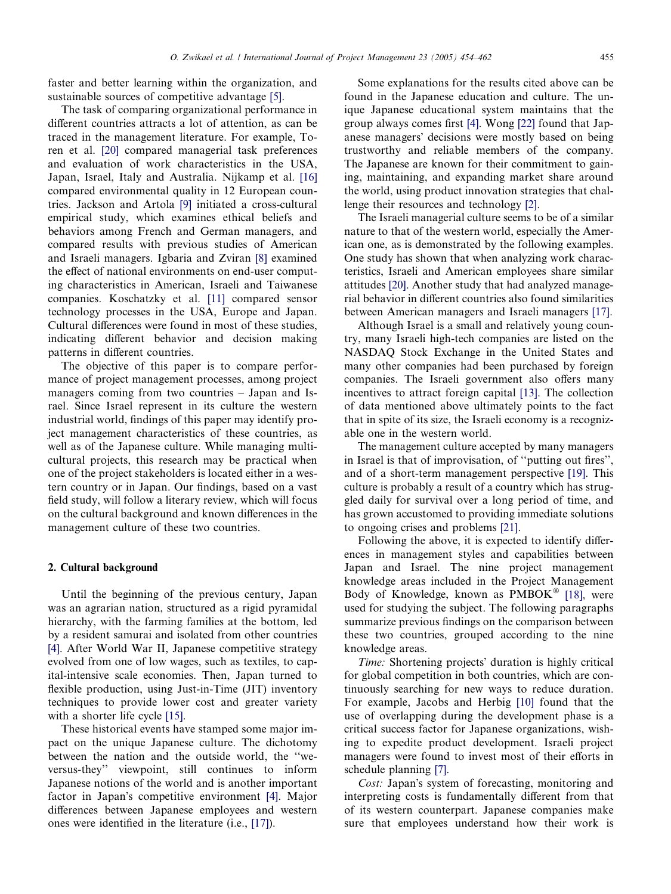faster and better learning within the organization, and sustainable sources of competitive advantage [\[5\]](#page--1-0).

The task of comparing organizational performance in different countries attracts a lot of attention, as can be traced in the management literature. For example, Toren et al. [\[20\]](#page--1-0) compared managerial task preferences and evaluation of work characteristics in the USA, Japan, Israel, Italy and Australia. Nijkamp et al. [\[16\]](#page--1-0) compared environmental quality in 12 European countries. Jackson and Artola [\[9\]](#page--1-0) initiated a cross-cultural empirical study, which examines ethical beliefs and behaviors among French and German managers, and compared results with previous studies of American and Israeli managers. Igbaria and Zviran [\[8\]](#page--1-0) examined the effect of national environments on end-user computing characteristics in American, Israeli and Taiwanese companies. Koschatzky et al. [\[11\]](#page--1-0) compared sensor technology processes in the USA, Europe and Japan. Cultural differences were found in most of these studies, indicating different behavior and decision making patterns in different countries.

The objective of this paper is to compare performance of project management processes, among project managers coming from two countries – Japan and Israel. Since Israel represent in its culture the western industrial world, findings of this paper may identify project management characteristics of these countries, as well as of the Japanese culture. While managing multicultural projects, this research may be practical when one of the project stakeholders is located either in a western country or in Japan. Our findings, based on a vast field study, will follow a literary review, which will focus on the cultural background and known differences in the management culture of these two countries.

### 2. Cultural background

Until the beginning of the previous century, Japan was an agrarian nation, structured as a rigid pyramidal hierarchy, with the farming families at the bottom, led by a resident samurai and isolated from other countries [\[4\].](#page--1-0) After World War II, Japanese competitive strategy evolved from one of low wages, such as textiles, to capital-intensive scale economies. Then, Japan turned to flexible production, using Just-in-Time (JIT) inventory techniques to provide lower cost and greater variety with a shorter life cycle [\[15\]](#page--1-0).

These historical events have stamped some major impact on the unique Japanese culture. The dichotomy between the nation and the outside world, the ''weversus-they'' viewpoint, still continues to inform Japanese notions of the world and is another important factor in Japan's competitive environment [\[4\].](#page--1-0) Major differences between Japanese employees and western ones were identified in the literature (i.e., [\[17\]\)](#page--1-0).

Some explanations for the results cited above can be found in the Japanese education and culture. The unique Japanese educational system maintains that the group always comes first [\[4\].](#page--1-0) Wong [\[22\]](#page--1-0) found that Japanese managers' decisions were mostly based on being trustworthy and reliable members of the company. The Japanese are known for their commitment to gaining, maintaining, and expanding market share around the world, using product innovation strategies that challenge their resources and technology [\[2\].](#page--1-0)

The Israeli managerial culture seems to be of a similar nature to that of the western world, especially the American one, as is demonstrated by the following examples. One study has shown that when analyzing work characteristics, Israeli and American employees share similar attitudes [\[20\]](#page--1-0). Another study that had analyzed managerial behavior in different countries also found similarities between American managers and Israeli managers [\[17\]](#page--1-0).

Although Israel is a small and relatively young country, many Israeli high-tech companies are listed on the NASDAQ Stock Exchange in the United States and many other companies had been purchased by foreign companies. The Israeli government also offers many incentives to attract foreign capital [\[13\].](#page--1-0) The collection of data mentioned above ultimately points to the fact that in spite of its size, the Israeli economy is a recognizable one in the western world.

The management culture accepted by many managers in Israel is that of improvisation, of ''putting out fires'', and of a short-term management perspective [\[19\].](#page--1-0) This culture is probably a result of a country which has struggled daily for survival over a long period of time, and has grown accustomed to providing immediate solutions to ongoing crises and problems [\[21\].](#page--1-0)

Following the above, it is expected to identify differences in management styles and capabilities between Japan and Israel. The nine project management knowledge areas included in the Project Management Body of Knowledge, known as PMBOK® [\[18\],](#page--1-0) were used for studying the subject. The following paragraphs summarize previous findings on the comparison between these two countries, grouped according to the nine knowledge areas.

Time: Shortening projects' duration is highly critical for global competition in both countries, which are continuously searching for new ways to reduce duration. For example, Jacobs and Herbig [\[10\]](#page--1-0) found that the use of overlapping during the development phase is a critical success factor for Japanese organizations, wishing to expedite product development. Israeli project managers were found to invest most of their efforts in schedule planning [\[7\]](#page--1-0).

Cost: Japan's system of forecasting, monitoring and interpreting costs is fundamentally different from that of its western counterpart. Japanese companies make sure that employees understand how their work is